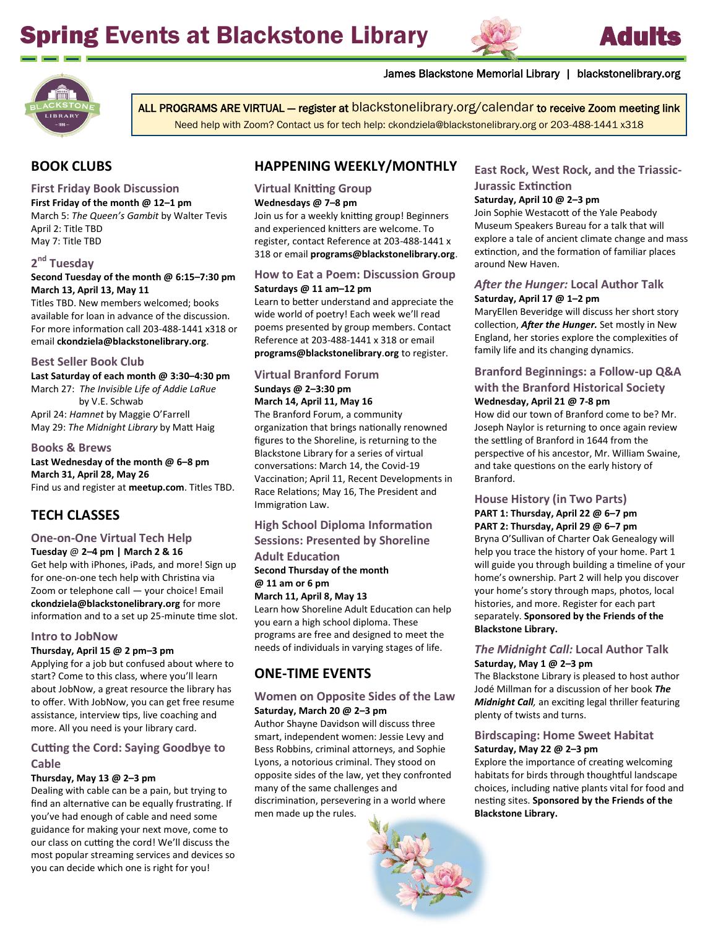# Spring Events at Blackstone Library





ALL PROGRAMS ARE VIRTUAL — register at blackstonelibrary.org/calendar to receive Zoom meeting link

Need help with Zoom? Contact us for tech help: ckondziela@blackstonelibrary.org or 203-488-1441 x318

# **BOOK CLUBS**

#### **First Friday Book Discussion**

**First Friday of the month @ 12–1 pm** March 5: *The Queen's Gambit* by Walter Tevis April 2: Title TBD May 7: Title TBD

# **2 nd Tuesday**

**Second Tuesday of the month @ 6:15–7:30 pm March 13, April 13, May 11**

Titles TBD. New members welcomed; books available for loan in advance of the discussion. For more information call 203-488-1441 x318 or email **ckondziela@blackstonelibrary.org**.

#### **Best Seller Book Club**

**Last Saturday of each month @ 3:30–4:30 pm** March 27: *The Invisible Life of Addie LaRue* by V.E. Schwab April 24: *Hamnet* by Maggie O'Farrell May 29: *The Midnight Library* by Matt Haig

#### **Books & Brews**

**Last Wednesday of the month @ 6–8 pm March 31, April 28, May 26** Find us and register at **[meetup.com](https://www.meetup.com/Books-Brews-Book-Club/)**. Titles TBD.

# **TECH CLASSES**

## **One-on-One Virtual Tech Help**

**Tuesday** @ **2–4 pm | March 2 & 16** Get help with iPhones, iPads, and more! Sign up for one-on-one tech help with Christina via Zoom or telephone call — your choice! Email **ckondziela@blackstonelibrary.org** for more information and to a set up 25-minute time slot.

#### **Intro to JobNow**

#### **Thursday, April 15 @ 2 pm–3 pm**

Applying for a job but confused about where to start? Come to this class, where you'll learn about JobNow, a great resource the library has to offer. With JobNow, you can get free resume assistance, interview tips, live coaching and more. All you need is your library card.

#### **Cutting the Cord: Saying Goodbye to Cable**

#### **Thursday, May 13 @ 2–3 pm**

Dealing with cable can be a pain, but trying to find an alternative can be equally frustrating. If you've had enough of cable and need some guidance for making your next move, come to our class on cutting the cord! We'll discuss the most popular streaming services and devices so you can decide which one is right for you!

# **HAPPENING WEEKLY/MONTHLY**

#### **Virtual Knitting Group Wednesdays @ 7–8 pm**

Join us for a weekly knitting group! Beginners and experienced knitters are welcome. To register, contact Reference at 203-488-1441 x 318 or email **programs@blackstonelibrary.org**.

#### **How to Eat a Poem: Discussion Group**

#### **Saturdays @ 11 am–12 pm**

Learn to better understand and appreciate the wide world of poetry! Each week we'll read poems presented by group members. Contact Reference at 203-488-1441 x 318 or email **programs@blackstonelibrary**.**org** to register.

# **Virtual Branford Forum Sundays @ 2–3:30 pm March 14, April 11, May 16**

The Branford Forum, a community organization that brings nationally renowned figures to the Shoreline, is returning to the Blackstone Library for a series of virtual conversations: March 14, the Covid-19 Vaccination; April 11, Recent Developments in Race Relations; May 16, The President and Immigration Law.

#### **High School Diploma Information Sessions: Presented by Shoreline**

# **Adult Education**

#### **Second Thursday of the month @ 11 am or 6 pm March 11, April 8, May 13**

Learn how Shoreline Adult Education can help you earn a high school diploma. These programs are free and designed to meet the needs of individuals in varying stages of life.

# **ONE-TIME EVENTS**

#### **Women on Opposite Sides of the Law Saturday, March 20 @ 2–3 pm**

Author Shayne Davidson will discuss three smart, independent women: Jessie Levy and Bess Robbins, criminal attorneys, and Sophie Lyons, a notorious criminal. They stood on opposite sides of the law, yet they confronted many of the same challenges and discrimination, persevering in a world where men made up the rules.

## **East Rock, West Rock, and the Triassic-Jurassic Extinction**

#### **Saturday, April 10 @ 2–3 pm**

James Blackstone Memorial Library | blackstonelibrary.org

Join Sophie Westacott of the Yale Peabody Museum Speakers Bureau for a talk that will explore a tale of ancient climate change and mass extinction, and the formation of familiar places around New Haven.

#### *After the Hunger:* **Local Author Talk Saturday, April 17 @ 1–2 pm**

MaryEllen Beveridge will discuss her short story collection, *After the Hunger.* Set mostly in New England, her stories explore the complexities of family life and its changing dynamics.

#### **Branford Beginnings: a Follow-up Q&A with the Branford Historical Society Wednesday, April 21 @ 7-8 pm**

How did our town of Branford come to be? Mr. Joseph Naylor is returning to once again review the settling of Branford in 1644 from the perspective of his ancestor, Mr. William Swaine, and take questions on the early history of Branford.

## **House History (in Two Parts)**

**PART 1: Thursday, April 22 @ 6–7 pm PART 2: Thursday, April 29 @ 6–7 pm** Bryna O'Sullivan of Charter Oak Genealogy will help you trace the history of your home. Part 1 will guide you through building a timeline of your home's ownership. Part 2 will help you discover your home's story through maps, photos, local histories, and more. Register for each part separately. **Sponsored by the Friends of the Blackstone Library.**

#### *The Midnight Call:* **Local Author Talk Saturday, May 1 @ 2–3 pm**

The Blackstone Library is pleased to host author Jodé Millman for a discussion of her book *The Midnight Call,* an exciting legal thriller featuring plenty of twists and turns.

#### **Birdscaping: Home Sweet Habitat Saturday, May 22 @ 2–3 pm**

Explore the importance of creating welcoming habitats for birds through thoughtful landscape choices, including native plants vital for food and nesting sites. **Sponsored by the Friends of the Blackstone Library.**